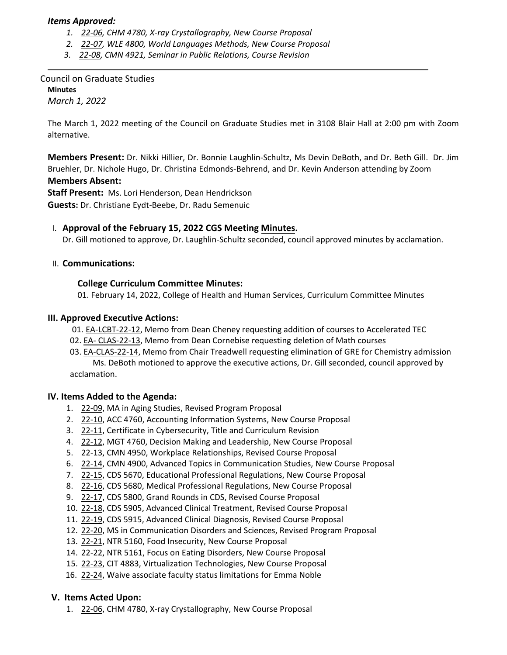### *Items Approved:*

- *1. 22‐[06,](https://castle.eiu.edu/eiucgs/currentagendaitems/agenda22-06.pdf) CHM 4780, X‐ray Crystallography, New Course Proposal*
- *2. 22‐[07,](https://castle.eiu.edu/eiucgs/currentagendaitems/agenda22-07.pdf) WLE 4800, World Languages Methods, New Course Proposal*
- *3. 22‐[08,](https://castle.eiu.edu/eiucgs/currentagendaitems/agenda22-08.pdf) CMN 4921, Seminar in Public Relations, Course Revision*

Council on Graduate Studies **Minutes** *March 1, 2022*

The March 1, 2022 meeting of the Council on Graduate Studies met in 3108 Blair Hall at 2:00 pm with Zoom alternative.

**Members Present:** Dr. Nikki Hillier, Dr. Bonnie Laughlin‐Schultz, Ms Devin DeBoth, and Dr. Beth Gill. Dr. Jim Bruehler, Dr. Nichole Hugo, Dr. Christina Edmonds‐Behrend, and Dr. Kevin Anderson attending by Zoom **Members Absent:** 

**Staff Present:** Ms. Lori Henderson, Dean Hendrickson **Guests:** Dr. Christiane Eydt‐Beebe, Dr. Radu Semenuic

## I. **Approval of the February 15, 2022 CGS Meeting [Minutes.](https://castle.eiu.edu/eiucgs/currentminutes/Minutes2-15-22.pdf)**

Dr. Gill motioned to approve, Dr. Laughlin‐Schultz seconded, council approved minutes by acclamation.

## II. **Communications:**

## **College Curriculum Committee Minutes:**

01. February 14, 2022, College of Health and Human Services, Curriculum [Committee](https://pmaileiu-my.sharepoint.com/:w:/r/personal/jemmett_eiu_edu/_layouts/15/Doc.aspx?sourcedoc=%7B045CB371-831D-4305-A286-A819F97BA3F0%7D&file=02-14-22_CHHSCC_Minutes.docx&action=default&mobileredirect=true) Minutes

## **III. Approved Executive Actions:**

01. EA‐[LCBT](https://castle.eiu.edu/eiucgs/exec-actions/EA-LCBT-22-12.pdf)‐22‐12, Memo from Dean Cheney requesting addition of courses to Accelerated TEC

- 02. EA- [CLAS](https://castle.eiu.edu/eiucgs/exec-actions/EA-CLAS-22-13.pdf)-22-13, Memo from Dean Cornebise requesting deletion of Math courses
- 03. EA‐[CLAS](https://castle.eiu.edu/eiucgs/exec-actions/EA-CLAS-22-14.pdf)‐22‐14, Memo from Chair Treadwell requesting elimination of GRE for Chemistry admission Ms. DeBoth motioned to approve the executive actions, Dr. Gill seconded, council approved by acclamation.

### **IV. Items Added to the Agenda:**

- 1. [22](https://castle.eiu.edu/eiucgs/currentagendaitems/agenda22-09.pdf)-09, MA in Aging Studies, Revised Program Proposal
- 2. 22-[10,](https://castle.eiu.edu/eiucgs/currentagendaitems/agenda22-10.pdf) ACC 4760, Accounting Information Systems, New Course Proposal
- 3. 22-[11,](https://castle.eiu.edu/eiucgs/currentagendaitems/agenda22-11.pdf) Certificate in Cybersecurity, Title and Curriculum Revision
- 4. 22‐[12,](https://castle.eiu.edu/eiucgs/currentagendaitems/agenda22-12.pdf) MGT 4760, Decision Making and Leadership, New Course Proposal
- 5. 22-[13,](https://castle.eiu.edu/eiucgs/currentagendaitems/agenda22-13.pdf) CMN 4950, Workplace Relationships, Revised Course Proposal
- 6. 22‐[14,](https://castle.eiu.edu/eiucgs/currentagendaitems/agenda22-14.pdf) CMN 4900, Advanced Topics in Communication Studies, New Course Proposal
- 7. 22‐[15,](https://castle.eiu.edu/eiucgs/currentagendaitems/agenda22-15.pdf) CDS 5670, Educational Professional Regulations, New Course Proposal
- 8. 22-[16,](https://castle.eiu.edu/eiucgs/currentagendaitems/agenda22-16.pdf) CDS 5680, Medical Professional Regulations, New Course Proposal
- 9. 22‐[17,](https://castle.eiu.edu/eiucgs/currentagendaitems/agenda22-17.pdf) CDS 5800, Grand Rounds in CDS, Revised Course Proposal
- 10. 22‐[18,](https://castle.eiu.edu/eiucgs/currentagendaitems/agenda22-18.pdf) CDS 5905, Advanced Clinical Treatment, Revised Course Proposal
- 11. 22‐[19,](https://castle.eiu.edu/eiucgs/currentagendaitems/agenda22-19.pdf) CDS 5915, Advanced Clinical Diagnosis, Revised Course Proposal
- 12. 22-[20,](https://castle.eiu.edu/eiucgs/currentagendaitems/agenda22-20.pdf) MS in Communication Disorders and Sciences, Revised Program Proposal
- 13. 22-[21,](https://castle.eiu.edu/eiucgs/currentagendaitems/agenda22-21.pdf) NTR 5160, Food Insecurity, New Course Proposal
- 14. 22-[22,](https://castle.eiu.edu/eiucgs/currentagendaitems/agenda22-22.pdf) NTR 5161, Focus on Eating Disorders, New Course Proposal
- 15. 22-[23,](https://castle.eiu.edu/eiucgs/currentagendaitems/agenda22-23.pdf) CIT 4883, Virtualization Technologies, New Course Proposal
- 16. 22-[24,](https://castle.eiu.edu/eiucgs/currentagendaitems/agenda22-24.pdf) Waive associate faculty status limitations for Emma Noble

### **V. Items Acted Upon:**

1. 22-[06,](https://castle.eiu.edu/eiucgs/currentagendaitems/agenda22-06.pdf) CHM 4780, X-ray Crystallography, New Course Proposal